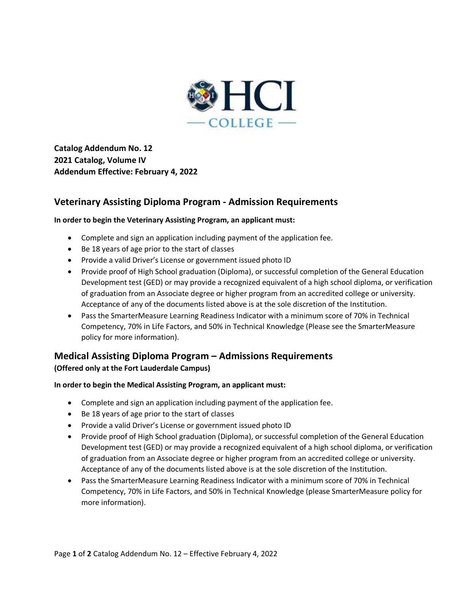

**Catalog Addendum No. 12 2021 Catalog, Volume IV Addendum Effective: February 4, 2022**

# **Veterinary Assisting Diploma Program - Admission Requirements**

#### **In order to begin the Veterinary Assisting Program, an applicant must:**

- Complete and sign an application including payment of the application fee.
- Be 18 years of age prior to the start of classes
- Provide a valid Driver's License or government issued photo ID
- Provide proof of High School graduation (Diploma), or successful completion of the General Education Development test (GED) or may provide a recognized equivalent of a high school diploma, or verification of graduation from an Associate degree or higher program from an accredited college or university. Acceptance of any of the documents listed above is at the sole discretion of the Institution.
- Pass the SmarterMeasure Learning Readiness Indicator with a minimum score of 70% in Technical Competency, 70% in Life Factors, and 50% in Technical Knowledge (Please see the SmarterMeasure policy for more information).

### **Medical Assisting Diploma Program – Admissions Requirements**

#### **(Offered only at the Fort Lauderdale Campus)**

#### **In order to begin the Medical Assisting Program, an applicant must:**

- Complete and sign an application including payment of the application fee.
- Be 18 years of age prior to the start of classes
- Provide a valid Driver's License or government issued photo ID
- Provide proof of High School graduation (Diploma), or successful completion of the General Education Development test (GED) or may provide a recognized equivalent of a high school diploma, or verification of graduation from an Associate degree or higher program from an accredited college or university. Acceptance of any of the documents listed above is at the sole discretion of the Institution.
- Pass the SmarterMeasure Learning Readiness Indicator with a minimum score of 70% in Technical Competency, 70% in Life Factors, and 50% in Technical Knowledge (please SmarterMeasure policy for more information).